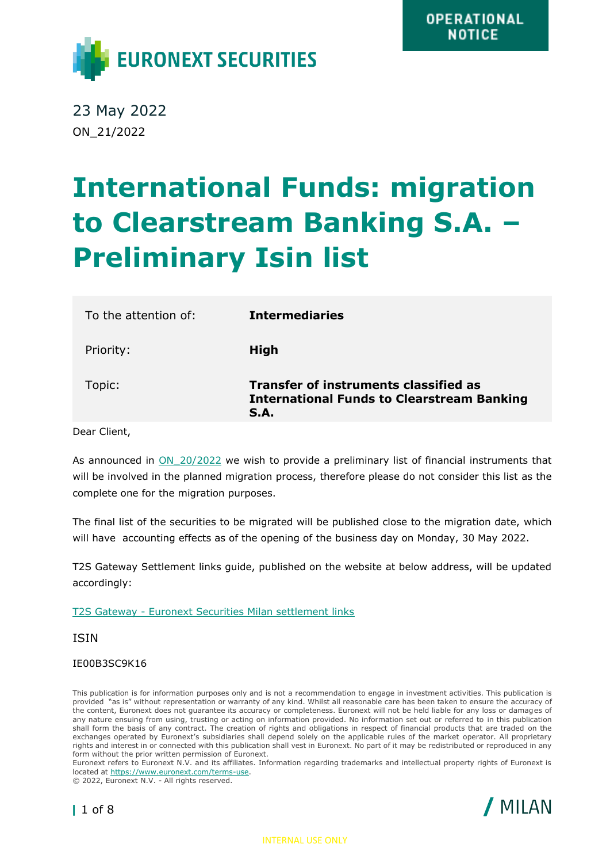

23 May 2022 ON\_21/2022

## **International Funds: migration to Clearstream Banking S.A. – Preliminary Isin list**

| To the attention of: | <b>Intermediaries</b>                                                                                     |
|----------------------|-----------------------------------------------------------------------------------------------------------|
| Priority:            | <b>High</b>                                                                                               |
| Topic:               | <b>Transfer of instruments classified as</b><br><b>International Funds to Clearstream Banking</b><br>S.A. |

Dear Client,

As announced in ON 20/2022 we wish to provide a preliminary list of financial instruments that will be involved in the planned migration process, therefore please do not consider this list as the complete one for the migration purposes.

The final list of the securities to be migrated will be published close to the migration date, which will have accounting effects as of the opening of the business day on Monday, 30 May 2022.

T2S Gateway Settlement links guide, published on the website at below address, will be updated accordingly:

T2S Gateway - [Euronext Securities Milan settlement links](https://www.euronext.com/en/post-trade/euronext-securities/milan/intermediaries/cross-market-documents)

ISIN

## IE00B3SC9K16

This publication is for information purposes only and is not a recommendation to engage in investment activities. This publication is provided "as is" without representation or warranty of any kind. Whilst all reasonable care has been taken to ensure the accuracy of the content, Euronext does not guarantee its accuracy or completeness. Euronext will not be held liable for any loss or damages of any nature ensuing from using, trusting or acting on information provided. No information set out or referred to in this publication shall form the basis of any contract. The creation of rights and obligations in respect of financial products that are traded on the exchanges operated by Euronext's subsidiaries shall depend solely on the applicable rules of the market operator. All proprietary rights and interest in or connected with this publication shall vest in Euronext. No part of it may be redistributed or reproduced in any form without the prior written permission of Euronext.

Euronext refers to Euronext N.V. and its affiliates. Information regarding trademarks and intellectual property rights of Euronext is located at [https://www.euronext.com/terms-use.](https://www.euronext.com/terms-use)

© 2022, Euronext N.V. - All rights reserved.



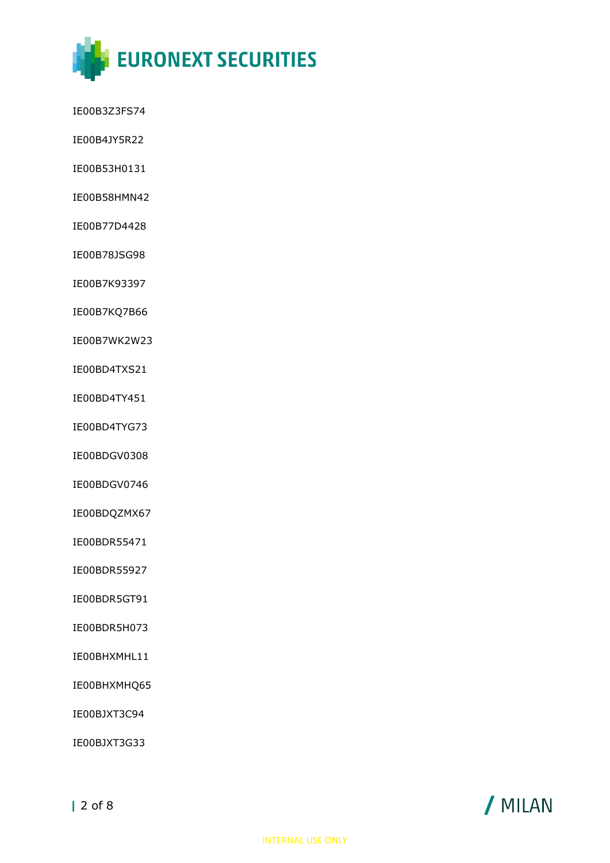

- IE00B3Z3FS74
- IE00B4JY5R22
- IE00B53H0131
- IE00B58HMN42
- IE00B77D4428
- IE00B78JSG98
- IE00B7K93397
- IE00B7KQ7B66
- IE00B7WK2W23
- IE00BD4TXS21
- IE00BD4TY451
- IE00BD4TYG73
- IE00BDGV0308
- IE00BDGV0746
- IE00BDQZMX67
- IE00BDR55471
- IE00BDR55927
- IE00BDR5GT91
- IE00BDR5H073
- IE00BHXMHL11
- IE00BHXMHQ65
- IE00BJXT3C94
- IE00BJXT3G33

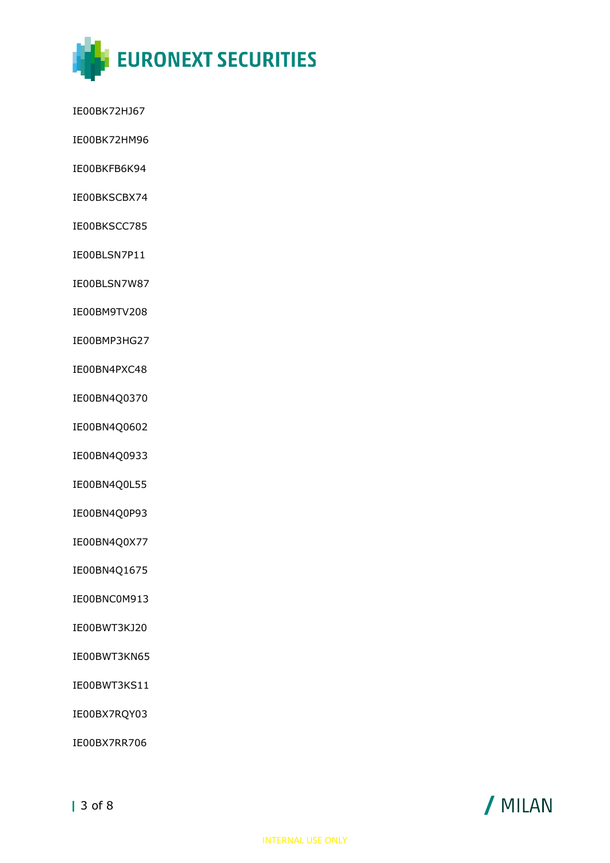

- IE00BK72HJ67
- IE00BK72HM96
- IE00BKFB6K94
- IE00BKSCBX74
- IE00BKSCC785
- IE00BLSN7P11
- IE00BLSN7W87
- IE00BM9TV208
- IE00BMP3HG27
- IE00BN4PXC48
- IE00BN4Q0370
- IE00BN4Q0602
- IE00BN4Q0933
- IE00BN4Q0L55
- IE00BN4Q0P93
- IE00BN4Q0X77
- IE00BN4Q1675
- IE00BNC0M913
- IE00BWT3KJ20
- IE00BWT3KN65
- IE00BWT3KS11
- IE00BX7RQY03
- IE00BX7RR706

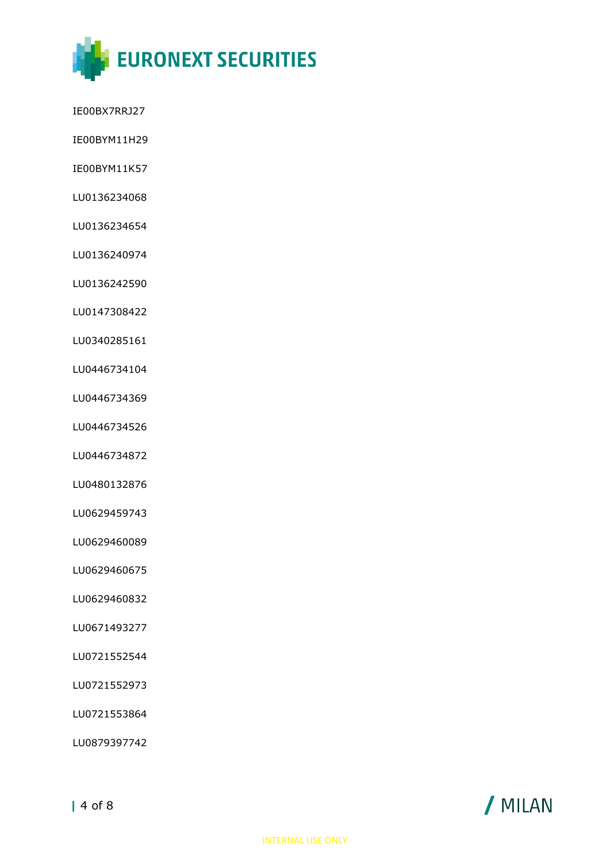

- IE00BX7RRJ27
- IE00BYM11H29
- IE00BYM11K57
- LU0136234068
- LU0136234654
- LU0136240974
- LU0136242590
- LU0147308422
- LU0340285161
- LU0446734104
- LU0446734369
- LU0446734526
- LU0446734872
- LU0480132876
- LU0629459743
- LU0629460089
- LU0629460675
- LU0629460832
- LU0671493277
- LU0721552544
- LU0721552973
- LU0721553864
- LU0879397742

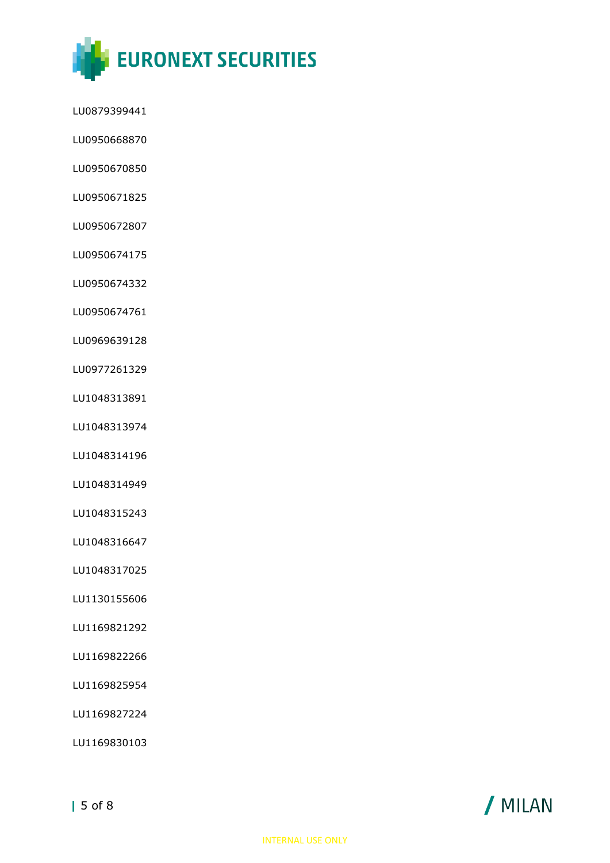

- LU0879399441
- LU0950668870
- LU0950670850
- LU0950671825
- LU0950672807
- LU0950674175
- LU0950674332
- LU0950674761
- LU0969639128
- LU0977261329
- LU1048313891
- LU1048313974
- LU1048314196
- LU1048314949
- LU1048315243
- LU1048316647
- LU1048317025
- LU1130155606
- LU1169821292
- LU1169822266
- LU1169825954
- LU1169827224
- LU1169830103

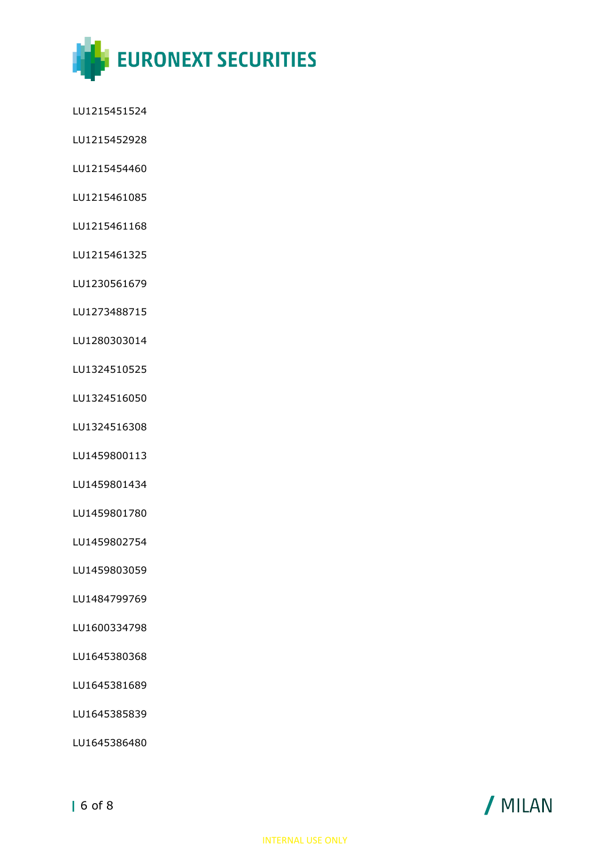

LU1215451524

- LU1215452928
- LU1215454460
- LU1215461085
- LU1215461168
- LU1215461325

LU1230561679

LU1273488715

LU1280303014

LU1324510525

LU1324516050

LU1324516308

LU1459800113

LU1459801434

LU1459801780

LU1459802754

LU1459803059

LU1484799769

LU1600334798

LU1645380368

LU1645381689

LU1645385839

LU1645386480

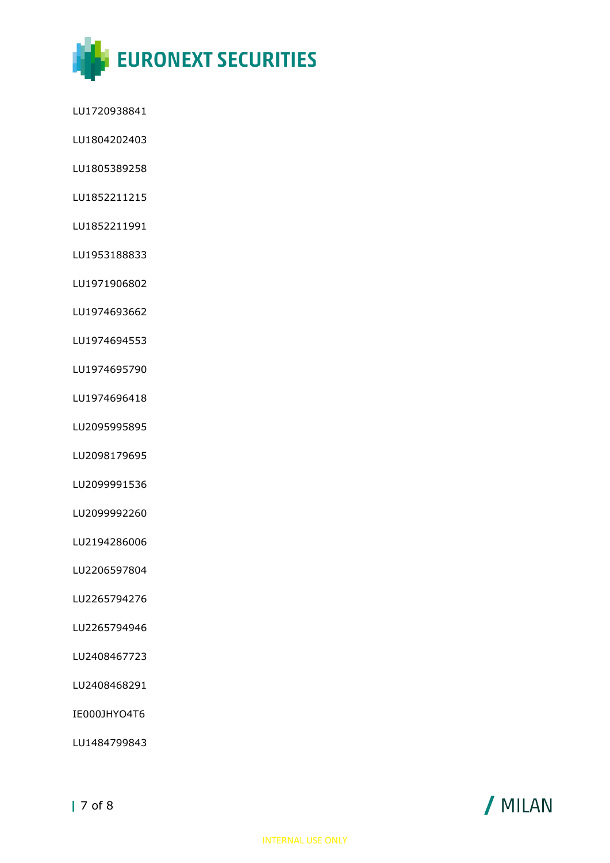

LU1720938841

- LU1804202403
- LU1805389258
- LU1852211215
- LU1852211991
- LU1953188833

LU1971906802

LU1974693662

LU1974694553

LU1974695790

LU1974696418

LU2095995895

LU2098179695

LU2099991536

LU2099992260

LU2194286006

LU2206597804

LU2265794276

LU2265794946

LU2408467723

LU2408468291

IE000JHYO4T6

LU1484799843